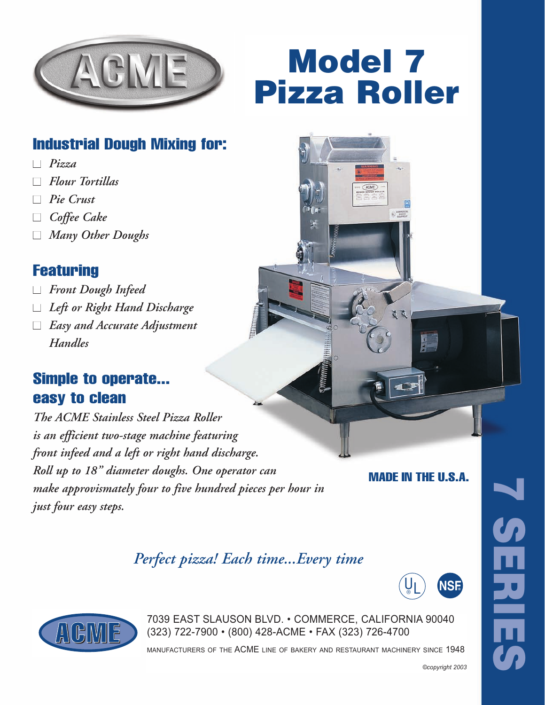

# Model 7 Pizza Roller

## Industrial Dough Mixing for:

- *Pizza*
- ■ *Flour Tortillas*
- ■ *Pie Crust*
- ■ *Coffee Cake*
- ■ *Many Other Doughs*

#### **Featuring**

- ■ *Front Dough Infeed*
- ■ *Left or Right Hand Discharge*
- *Easy and Accurate Adjustment Handles*

### Simple to operate... easy to clean

*The ACME Stainless Steel Pizza Roller is an efficient two-stage machine featuring front infeed and a left or right hand discharge. Roll up to 18" diameter doughs. One operator can make approvismately four to five hundred pieces per hour in just four easy steps.*

MADE IN THE U.S.A.

*Perfect pizza! Each time...Every time*





7039 EAST SLAUSON BLVD. • COMMERCE, CALIFORNIA 90040<br>(323) 722-7900 • (800) 428-ACME • FAX (323) 726-4700 (323) 722-7900 • (800) 428-ACME • FAX (323) 726-4700

manufacturers of the ACME line of bakery and restaurant machinery since 1948